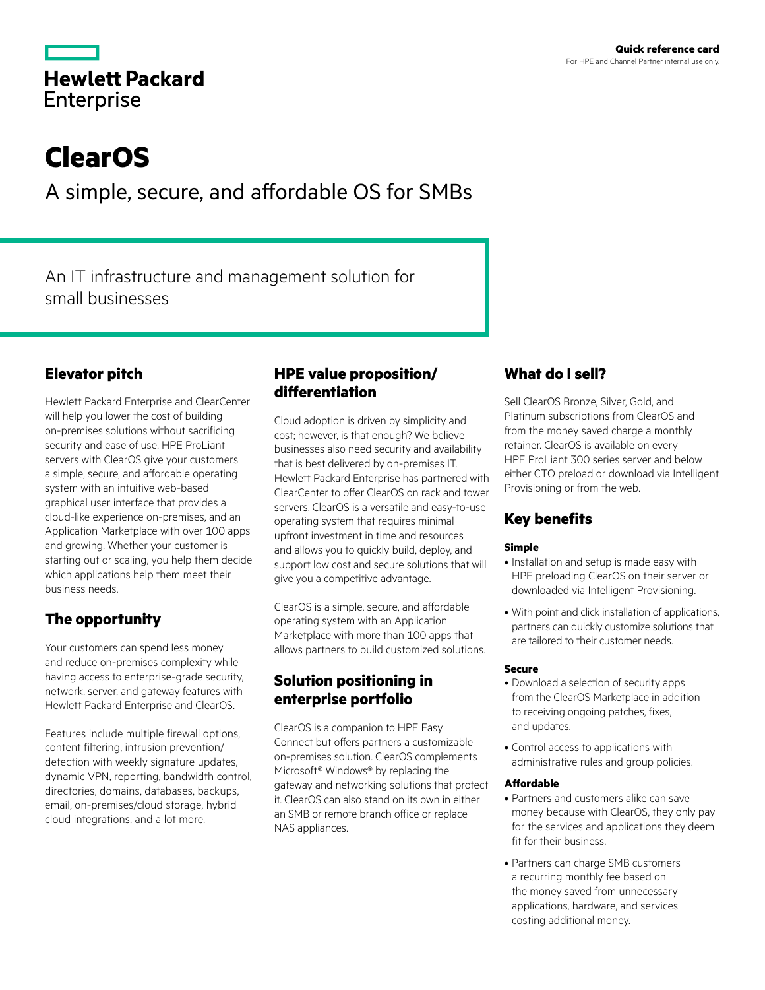|                   | <b>Hewlett Packard</b> |
|-------------------|------------------------|
| <b>Enterprise</b> |                        |

# **ClearOS**

A simple, secure, and affordable OS for SMBs

An IT infrastructure and management solution for small businesses

# **Elevator pitch**

Hewlett Packard Enterprise and ClearCenter will help you lower the cost of building on‑premises solutions without sacrificing security and ease of use. HPE ProLiant servers with ClearOS give your customers a simple, secure, and affordable operating system with an intuitive web-based graphical user interface that provides a cloud-like experience on‑premises, and an Application Marketplace with over 100 apps and growing. Whether your customer is starting out or scaling, you help them decide which applications help them meet their business needs.

# **The opportunity**

Your customers can spend less money and reduce on-premises complexity while having access to enterprise-grade security, network, server, and gateway features with Hewlett Packard Enterprise and ClearOS.

Features include multiple firewall options, content filtering, intrusion prevention/ detection with weekly signature updates, dynamic VPN, reporting, bandwidth control, directories, domains, databases, backups, email, on-premises/cloud storage, hybrid cloud integrations, and a lot more.

## **HPE value proposition/ differentiation**

Cloud adoption is driven by simplicity and cost; however, is that enough? We believe businesses also need security and availability that is best delivered by on-premises IT. Hewlett Packard Enterprise has partnered with ClearCenter to offer ClearOS on rack and tower servers. ClearOS is a versatile and easy-to-use operating system that requires minimal upfront investment in time and resources and allows you to quickly build, deploy, and support low cost and secure solutions that will give you a competitive advantage.

ClearOS is a simple, secure, and affordable operating system with an Application Marketplace with more than 100 apps that allows partners to build customized solutions.

# **Solution positioning in enterprise portfolio**

ClearOS is a companion to HPE Easy Connect but offers partners a customizable on‑premises solution. ClearOS complements Microsoft® Windows® by replacing the gateway and networking solutions that protect it. ClearOS can also stand on its own in either an SMB or remote branch office or replace NAS appliances.

# **What do I sell?**

Sell ClearOS Bronze, Silver, Gold, and Platinum subscriptions from ClearOS and from the money saved charge a monthly retainer. ClearOS is available on every HPE ProLiant 300 series server and below either CTO preload or download via Intelligent Provisioning or from the web.

# **Key benefits**

## **Simple**

- Installation and setup is made easy with HPE preloading ClearOS on their server or downloaded via Intelligent Provisioning.
- • With point and click installation of applications, partners can quickly customize solutions that are tailored to their customer needs.

## **Secure**

- Download a selection of security apps from the ClearOS Marketplace in addition to receiving ongoing patches, fixes, and updates.
- • Control access to applications with administrative rules and group policies.

## **Affordable**

- Partners and customers alike can save money because with ClearOS, they only pay for the services and applications they deem fit for their business.
- Partners can charge SMB customers a recurring monthly fee based on the money saved from unnecessary applications, hardware, and services costing additional money.